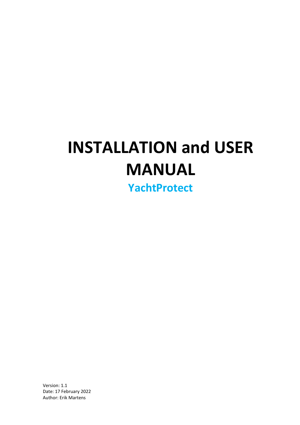# **INSTALLATION and USER MANUAL**

**YachtProtect**

Version: 1.1 Date: 17 February 2022 Author: Erik Martens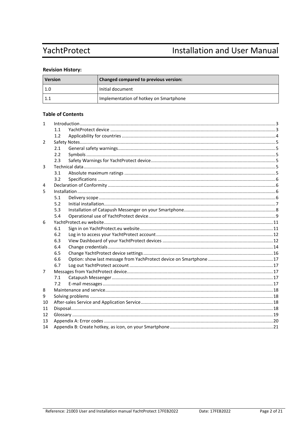## YachtProtect

## **Installation and User Manual**

## **Revision History:**

| <b>Version</b> | Changed compared to previous version:  |  |
|----------------|----------------------------------------|--|
| 1.0            | Initial document                       |  |
|                | Implementation of hotkey on Smartphone |  |

## **Table of Contents**

| $\mathbf{1}$ |     |  |  |
|--------------|-----|--|--|
|              | 1.1 |  |  |
|              | 1.2 |  |  |
| 2            |     |  |  |
|              | 2.1 |  |  |
|              | 2.2 |  |  |
|              | 2.3 |  |  |
| 3            |     |  |  |
|              | 3.1 |  |  |
|              | 3.2 |  |  |
| 4            |     |  |  |
| 5            |     |  |  |
|              | 5.1 |  |  |
|              | 5.2 |  |  |
|              | 5.3 |  |  |
|              | 5.4 |  |  |
| 6            |     |  |  |
|              | 6.1 |  |  |
|              | 6.2 |  |  |
|              | 6.3 |  |  |
|              | 6.4 |  |  |
|              | 6.5 |  |  |
|              | 6.6 |  |  |
|              | 6.7 |  |  |
| 7            |     |  |  |
|              | 7.1 |  |  |
|              | 7.2 |  |  |
| 8            |     |  |  |
| 9            |     |  |  |
| 10           |     |  |  |
| 11           |     |  |  |
| 12           |     |  |  |
| 13           |     |  |  |
| 14           |     |  |  |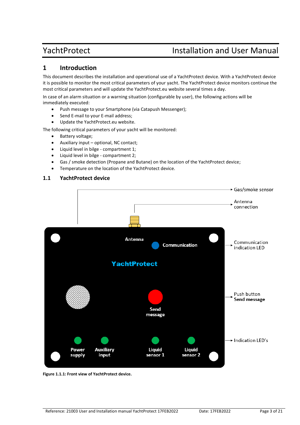## <span id="page-2-0"></span>**1 Introduction**

This document describes the installation and operational use of a YachtProtect device. With a YachtProtect device it is possible to monitor the most critical parameters of your yacht. The YachtProtect device monitors continue the most critical parameters and will update the YachtProtect.eu website several times a day.

In case of an alarm situation or a warning situation (configurable by user), the following actions will be immediately executed:

- Push message to your Smartphone (via Catapush Messenger);
- Send E-mail to your E-mail address;
- Update the YachtProtect.eu website.

The following critical parameters of your yacht will be monitored:

- Battery voltage;
- Auxiliary input optional, NC contact;
- Liquid level in bilge compartment 1;
- Liquid level in bilge compartment 2;
- Gas / smoke detection (Propane and Butane) on the location of the YachtProtect device;
- Temperature on the location of the YachtProtect device.

## <span id="page-2-1"></span>**1.1 YachtProtect device**



**Figure 1.1.1: Front view of YachtProtect device.**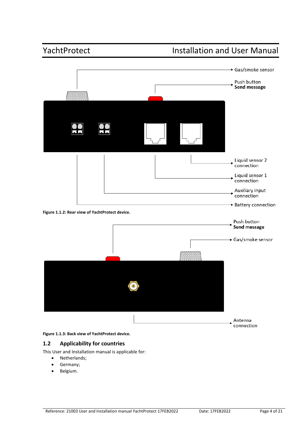

**Figure 1.1.3: Back view of YachtProtect device.**

## <span id="page-3-0"></span>**1.2 Applicability for countries**

This User and Installation manual is applicable for:

- Netherlands;
- Germany;
- Belgium.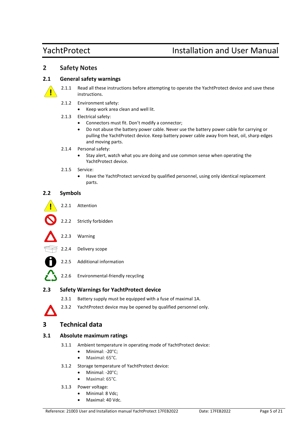## <span id="page-4-0"></span>**2 Safety Notes**

## <span id="page-4-1"></span>**2.1 General safety warnings**



- 2.1.1 Read all these instructions before attempting to operate the YachtProtect device and save these instructions.
- 2.1.2 Environment safety:
	- Keep work area clean and well lit.
- 2.1.3 Electrical safety:
	- Connectors must fit. Don't modify a connector;
	- Do not abuse the battery power cable. Never use the battery power cable for carrying or pulling the YachtProtect device. Keep battery power cable away from heat, oil, sharp edges and moving parts.
- 2.1.4 Personal safety:
	- Stay alert, watch what you are doing and use common sense when operating the YachtProtect device.
- 2.1.5 Service:
	- Have the YachtProtect serviced by qualified personnel, using only identical replacement parts.

## <span id="page-4-2"></span>**2.2 Symbols**

| 771 | Attention |
|-----|-----------|
|     |           |

- 2.2.2 Strictly forbidden
- 2.2.3 Warning
- 2.2.4 Delivery scope
	- 2.2.5 Additional information
- 2.2.6 Environmental-friendly recycling

## <span id="page-4-3"></span>**2.3 Safety Warnings for YachtProtect device**

- 2.3.1 Battery supply must be equipped with a fuse of maximal 1A.
- 2.3.2 YachtProtect device may be opened by qualified personnel only.

## <span id="page-4-4"></span>**3 Technical data**

## <span id="page-4-5"></span>**3.1 Absolute maximum ratings**

- 3.1.1 Ambient temperature in operating mode of YachtProtect device:
	- Minimal: -20°C:
	- Maximal: 65°C.
- 3.1.2 Storage temperature of YachtProtect device:
	- Minimal: -20°C;
	- Maximal: 65°C*.*
- 3.1.3 Power voltage:
	- Minimal: 8 Vdc;
	- Maximal: 40 Vdc.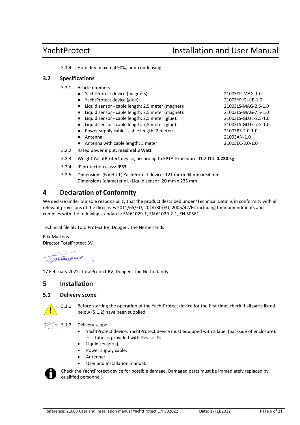3.1.4 Humidity: maximal 90%, non-condensing.

### <span id="page-5-0"></span>**3.2 Specifications**

- 3.2.1 Article numbers:
	- YachtProtect device (magnets): 21003YP-MAG-1.0
	- YachtProtect device (glue): 21003YP-GLUE-1.0
	- Liquid sensor cable length: 2,5 meter (magnet): 21003LS-MAG-2.5-1.0
	- Liquid sensor cable length: 7,5 meter (magnet): 21003LS-MAG-7.5-1.0
	- Liquid sensor cable length: 2,5 meter (glue): 21003LS-GLUE-2.5-1.0
	- Liquid sensor cable length: 7,5 meter (glue): 21003LS-GLUE-7.5-1.0
	- Power supply cable cable length: 2 meter: 21003PS-2.0-1.0
	-
	- Antenna with cable length: 3 meter: 21003EC-3.0-1.0
- 3.2.2 Rated power input: **maximal 3 Watt**
- 3.2.3 Weight YachtProtect device, according to EPTA-Procedure 01:2014: **0.220 kg**
- 3.2.4 IP protection class: **IP33**
- 3.2.5 Dimensions (B x H x L) YachProtect device: 121 mm x 94 mm x 34 mm Dimensions (diameter x L) Liquid sensor: 20 mm x 235 mm

## <span id="page-5-1"></span>**4 Declaration of Conformity**

We declare under our sole responsibility that the product described under 'Technical Data' is in conformity with all relevant provisions of the directives 2011/65/EU, 2014/30/EU, 2006/42/EC including their amendments and complies with the following standards: EN 61029-1, EN 61029-2-1, EN 50581.

Technical file at: TotalProtect BV, Dongen, The Netherlands

Erik Martens Director TotalProtect BV

mantens

17 February 2022, TotalProtect BV, Dongen, The Netherlands

## <span id="page-5-2"></span>**5 Installation**

### <span id="page-5-3"></span>**5.1 Delivery scope**



5.1.1 Before starting the operation of the YachtProtect device for the first time, check if all parts listed below (5.1.2) have been supplied.



- 5.1.2 Delivery scope:
	- YachtProtect device. YachtProtect device must equipped with a label (backside of enclosure): - Label is provided with Device ID;
	- Liquid sensor(s);
	- Power supply cable;
	- Antenna;
	- User and Installation manual.



Check the YachtProtect device for possible damage. Damaged parts must be immediately replaced by qualified personnel.

● Antenna: 21003AN-1.0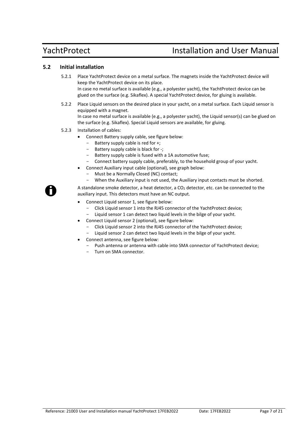## <span id="page-6-0"></span>**5.2 Initial installation**

- 5.2.1 Place YachtProtect device on a metal surface. The magnets inside the YachtProtect device will keep the YachtProtect device on its place. In case no metal surface is available (e.g., a polyester yacht), the YachtProtect device can be glued on the surface (e.g. Sikaflex). A special YachtProtect device, for gluing is available.
- 5.2.2 Place Liquid sensors on the desired place in your yacht, on a metal surface. Each Liquid sensor is equipped with a magnet. In case no metal surface is available (e.g., a polyester yacht), the Liquid sensor(s) can be glued on the surface (e.g. Sikaflex). Special Liquid sensors are available, for gluing.
- 5.2.3 Installation of cables:
	- Connect Battery supply cable, see figure below:
		- Battery supply cable is red for +;
		- Battery supply cable is black for -;
		- Battery supply cable is fused with a 1A automotive fuse;
		- Connect battery supply cable, preferably, to the household group of your yacht.
	- Connect Auxiliary input cable (optional), see graph below:
		- Must be a Normally Closed (NC) contact;
			- When the Auxiliary input is not used, the Auxiliary input contacts must be shorted.

A standalone smoke detector, a heat detector, a  $CO<sub>2</sub>$  detector, etc. can be connected to the auxiliary input. This detectors must have an NC output.

- Connect Liquid sensor 1, see figure below:
	- Click Liquid sensor 1 into the RJ45 connector of the YachtProtect device;
	- Liquid sensor 1 can detect two liquid levels in the bilge of your yacht.
- Connect Liquid sensor 2 (optional), see figure below:
	- Click Liquid sensor 2 into the RJ45 connector of the YachtProtect device;
	- Liquid sensor 2 can detect two liquid levels in the bilge of your yacht.
- Connect antenna, see figure below:
	- Push antenna or antenna with cable into SMA connector of YachtProtect device;
	- Turn on SMA connector.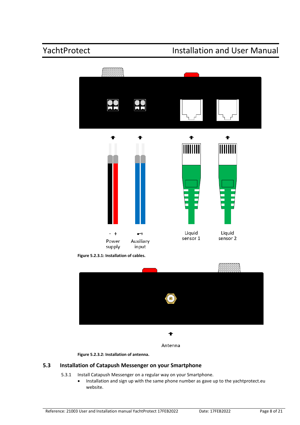

**Figure 5.2.3.1: Installation of cables.**



**Figure 5.2.3.2: Installation of antenna.**

## <span id="page-7-0"></span>**5.3 Installation of Catapush Messenger on your Smartphone**

- 5.3.1 Install Catapush Messenger on a regular way on your Smartphone.
	- Installation and sign up with the same phone number as gave up to the yachtprotect.eu website.

Antenna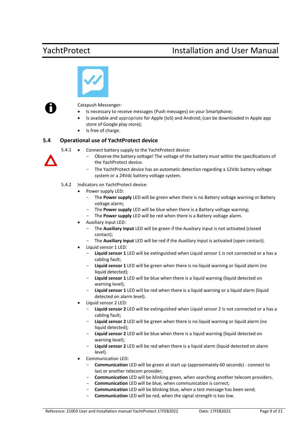



Catapush Messenger:

- Is necessary to receive messages (Push messages) on your Smartphone;
- Is available and appropriate for Apple (IoS) and Android; (can be downloaded in Apple app store of Google play store);
- Is free of charge.

## <span id="page-8-0"></span>**5.4 Operational use of YachtProtect device**

5.4.1 • Connect battery supply to the YachtProtect device:

- Observe the battery voltage! The voltage of the battery must within the specifications of the YachProtect device.
- The YachtProtect device has an automatic detection regarding a 12Vdc battery voltage system or a 24Vdc battery voltage system.

### 5.4.2 Indicators on YachtProtect device:

- Power supply LED:
	- The Power supply LED will be green when there is no Battery voltage warning or Battery voltage alarm;
	- The **Power supply** LED will be blue when there is a Battery voltage warning;
	- The **Power supply** LED will be red when there is a Battery voltage alarm.
- Auxiliary input LED:
	- The **Auxiliary input** LED will be green if the Auxiliary input is not activated (closed contact);
	- The **Auxiliary input** LED will be red if the Auxiliary input is activated (open contact).
- Liquid sensor 1 LED:
	- **Liquid sensor 1** LED will be extinguished when Liquid sensor 1 is not connected or a has a cabling fault;
	- **Liquid sensor 1** LED will be green when there is no liquid warning or liquid alarm (no liquid detected);
	- **Liquid sensor 1** LED will be blue when there is a liquid warning (liquid detected on warning level);
	- **Liquid sensor 1** LED will be red when there is a liquid warning or a liquid alarm (liquid detected on alarm level).
- Liquid sensor 2 LED:
	- **Liquid sensor 2** LED will be extinguished when Liquid sensor 2 is not connected or a has a cabling fault;
	- Liquid sensor 2 LED will be green when there is no liquid warning or liquid alarm (no liquid detected);
	- Liquid sensor 2 LED will be blue when there is a liquid warning (liquid detected on warning level);
	- **Liquid sensor 2** LED will be red when there is a liquid alarm (liquid detected on alarm level).
- Communication LED:
	- **Communication** LED will be green at start up (approximately 60 seconds) connect to last or another telecom provider;
	- Communication LED will be blinking green, when searching another telecom providers.
	- **Communication** LED will be blue, when communication is correct;
	- **Communication** LED will be blinking blue, when a test message has been send;
		- Communication LED will be red, when the signal strength is too low.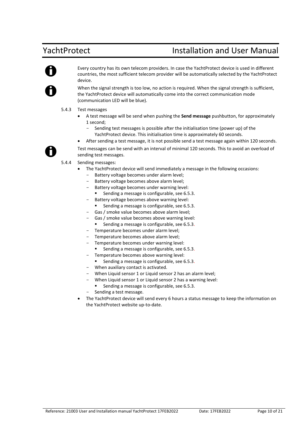

Every country has its own telecom providers. In case the YachtProtect device is used in different countries, the most sufficient telecom provider will be automatically selected by the YachtProtect device.

When the signal strength is too low, no action is required. When the signal strength is sufficient, the YachtProtect device will automatically come into the correct communication mode (communication LED will be blue).

- 5.4.3 Test messages
	- A test message will be send when pushing the **Send message** pushbutton, for approximately 1 second;
		- Sending test messages is possible after the initialisation time (power up) of the YachtProtect device. This initialisation time is approximately 60 seconds.
	- After sending a test message, it is not possible send a test message again within 120 seconds.

Test messages can be send with an interval of minimal 120 seconds. This to avoid an overload of sending test messages.

- 5.4.4 Sending messages:
	- The YachtProtect device will send immediately a message in the following occasions:
		- Battery voltage becomes under alarm level;
		- Battery voltage becomes above alarm level;
		- Battery voltage becomes under warning level:
			- Sending a message is configurable, see 6.5.3.
		- Battery voltage becomes above warning level:
			- Sending a message is configurable, see 6.5.3.
		- Gas / smoke value becomes above alarm level;
			- Gas / smoke value becomes above warning level:
				- Sending a message is configurable, see 6.5.3.
		- Temperature becomes under alarm level;
		- Temperature becomes above alarm level:
		- Temperature becomes under warning level:
		- Sending a message is configurable, see 6.5.3.
		- Temperature becomes above warning level:
		- Sending a message is configurable, see 6.5.3.
		- When auxiliary contact is activated.
		- When Liquid sensor 1 or Liquid sensor 2 has an alarm level;
		- When Liquid sensor 1 or Liquid sensor 2 has a warning level:
			- Sending a message is configurable, see 6.5.3.
		- Sending a test message.
	- The YachtProtect device will send every 6 hours a status message to keep the information on the YachtProtect website up-to-date.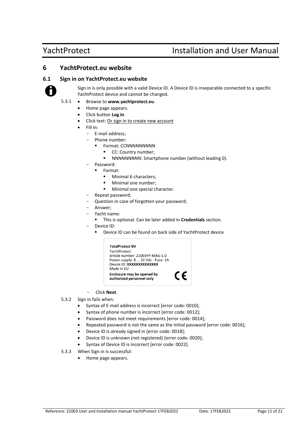## <span id="page-10-0"></span>**6 YachtProtect.eu website**

### <span id="page-10-1"></span>**6.1 Sign in on YachtProtect.eu website**



Sign in is only possible with a valid Device ID. A Device ID is inseparable connected to a specific YachtProtect device and cannot be changed.

- 5.3.1 Browse to **[www.yachtprotect.eu](http://www.yachtprotect.eu/)**.
	- Home page appears.
	- Click button **Log in**.
	- Click text: Or sign in to create new account
	- Fill in:
		- E-mail address;
			- Phone number:
				- **•** Format: CCNNNNNNNNN
					- CC: Country number;
					- NNNNNNNNN: Smartphone number (without leading 0).
		- Password:
			- Format:
				- Minimal 6 characters:
				- Minimal one number;
				- Minimal one special character.
		- Repeat password;
		- Question in case of forgotten your password;
		- Answer;
		- Yacht name:
			- This is optional. Can be later added in **Credentials** section.
		- Device ID:
			- Device ID can be found on back side of YachtProtect device



- Click **Next**.
- 5.3.2 Sign in fails when:
	- Syntax of E-mail address is incorrect [error code: 0010];
	- Syntax of phone number is incorrect [error code: 0012];
	- Password does not meet requirements [error code: 0014];
	- Repeated password is not the same as the initial password [error code: 0016];
	- Device ID is already signed in [error code: 0018];
	- Device ID is unknown (not registered) [error code: 0020];
	- Syntax of Device ID is incorrect [error code: 0022].
- 5.3.3 When Sign in is successful:
	- Home page appears.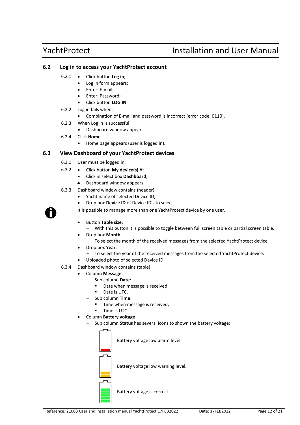## <span id="page-11-0"></span>**6.2 Log in to access your YachtProtect account**

- 6.2.1 Click button **Log in**;
	- Log in form appears;
	- Enter: E-mail;
	- Enter: Password;
	- Click button **LOG IN**.
- 6.2.2 Log in fails when:
	- Combination of E-mail and password is incorrect [error code: 0110].
- 6.2.3 When Log in is successful:
	- Dashboard window appears.
- 6.2.4 Click **Home**.
	- Home page appears (user is logged in).

## <span id="page-11-1"></span>**6.3 View Dashboard of your YachtProtect devices**

- 6.3.1 User must be logged in.
- 6.3.2 Click button **My device(s) ▼**;
	- Click in select box **Dashboard**;
	- Dashboard window appears.
- 6.3.3 Dashboard window contains (header):
	- Yacht name of selected Device ID;
	- Drop box **Device ID** of Device ID's to select.

It is possible to manage more than one YachtProtect device by one user.

- Button **Table size**:
- With this button it is possible to toggle between full screen table or partial screen table.
- Drop box **Month**:
	- To select the month of the received messages from the selected YachtProtect device.
- Drop box **Year**:
- To select the year of the received messages from the selected YachtProtect device.
- Uploaded photo of selected Device ID.
- 6.3.4 Dashboard window contains (table):
	- Column **Message**:
		- Sub column **Date**:
			- Date when message is received;
			- Date is UTC.
		- Sub column **Time**:
			- Time when message is received;
			- Time is UTC.
		- Column **Battery voltage**:
		- Sub column **Status** has several icons to shown the battery voltage:



Battery voltage low alarm level.



Battery voltage low warning level.

Battery voltage is correct.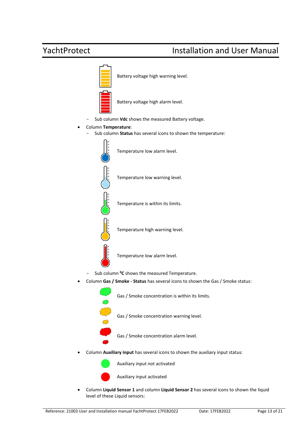

• Column **Liquid Sensor 1** and column **Liquid Sensor 2** has several icons to shown the liquid level of these Liquid sensors: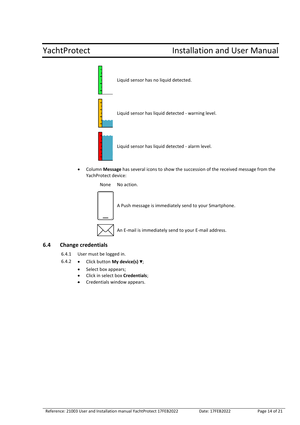

• Column **Message** has several icons to show the succession of the received message from the YachProtect device:

None No action.



## <span id="page-13-0"></span>**6.4 Change credentials**

- 6.4.1 User must be logged in.
- 6.4.2 Click button **My device(s) ▼**;
	- Select box appears;
	- Click in select box **Credentials**;
	- Credentials window appears.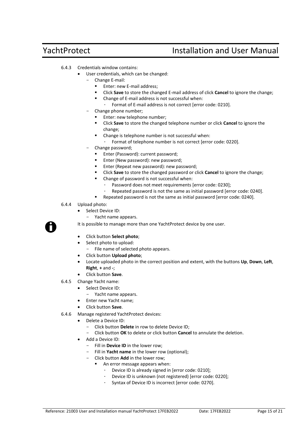- 6.4.3 Credentials window contains:
	- User credentials, which can be changed:
		- Change E-mail:
			- Enter: new E-mail address:
			- Click **Save** to store the changed E-mail address of click **Cancel** to ignore the change;
			- Change of E-mail address is not successful when:
			- ∙ Format of E-mail address is not correct [error code: 0210].
		- Change phone number;
			- Enter: new telephone number;
			- Click **Save** to store the changed telephone number or click **Cancel** to ignore the change;
			- Change is telephone number is not successful when:
				- ∙ Format of telephone number is not correct [error code: 0220].
		- Change password;
			- Enter (Password): current password;
			- Enter (New password): new password;
			- Enter (Repeat new password): new password;
			- Click **Save** to store the changed password or click **Cancel** to ignore the change;
			- Change of password is not successful when:
				- ∙ Password does not meet requirements [error code: 0230];
				- ∙ Repeated password is not the same as initial password [error code: 0240].
			- Repeated password is not the same as initial password [error code: 0240].
- 6.4.4 Upload photo:
	- Select Device ID:
		- Yacht name appears.

It is possible to manage more than one YachtProtect device by one user.

- Click button **Select photo**;
- Select photo to upload:
	- File name of selected photo appears.
- Click button **Upload photo**;
- Locate uploaded photo in the correct position and extent, with the buttons **Up**, **Down**, **Left**, **Right**, **+** and **-**;
- Click button **Save**.
- 6.4.5 Change Yacht name:
	- Select Device ID:
		- Yacht name appears.
	- Enter new Yacht name;
	- Click button **Save**.
- 6.4.6 Manage registered YachtProtect devices:
	- Delete a Device ID:
		- Click button **Delete** in row to delete Device ID;
		- Click button **OK** to delete or click button **Cancel** to annulate the deletion.
	- Add a Device ID:
		- Fill in **Device ID** in the lower row;
		- Fill in **Yacht name** in the lower row (optional);
		- Click button **Add** in the lower row;
			- An error message appears when:
				- ∙ Device ID is already signed in [error code: 0210];
				- ∙ Device ID is unknown (not registered) [error code: 0220];
				- ∙ Syntax of Device ID is incorrect [error code: 0270].

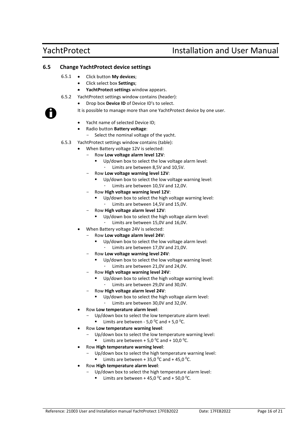## <span id="page-15-0"></span>**6.5 Change YachtProtect device settings**

- 6.5.1 Click button **My devices**;
	- Click select box **Settings**;
	- **YachtProtect settings** window appears.
- 6.5.2 YachtProtect settings window contains (header):
	- Drop box **Device ID** of Device ID's to select.

It is possible to manage more than one YachtProtect device by one user.

- Yacht name of selected Device ID;
- Radio button **Battery voltage**:
	- Select the nominal voltage of the yacht.
- 6.5.3 YachtProtect settings window contains (table):
	- When Battery voltage 12V is selected:
		- Row **Low voltage alarm level 12V**:
			- Up/down box to select the low voltage alarm level:
			- ∙ Limits are between 8,5V and 10,5V.
		- Row **Low voltage warning level 12V**:
			- Up/down box to select the low voltage warning level:
			- ∙ Limits are between 10,5V and 12,0V.
		- Row **High voltage warning level 12V**:
			- Up/down box to select the high voltage warning level:
			- ∙ Limits are between 14,5V and 15,0V.
		- Row **High voltage alarm level 12V**:
			- Up/down box to select the high voltage alarm level:
				- ∙ Limits are between 15,0V and 16,0V.
	- When Battery voltage 24V is selected:
		- Row **Low voltage alarm level 24V**:
			- Up/down box to select the low voltage alarm level:
				- ∙ Limits are between 17,0V and 21,0V.
		- Row **Low voltage warning level 24V**:
			- Up/down box to select the low voltage warning level:
			- ∙ Limits are between 21,0V and 24,0V.
		- Row **High voltage warning level 24V**:
			- Up/down box to select the high voltage warning level:
				- ∙ Limits are between 29,0V and 30,0V.
		- Row **High voltage alarm level 24V**:
			- Up/down box to select the high voltage alarm level:
				- ∙ Limits are between 30,0V and 32,0V.
	- Row **Low temperature alarm level**:
		- Up/down box to select the low temperature alarm level:
			- Limits are between 5,0  $^0$ C and + 5,0  $^0$ C.
	- Row **Low temperature warning level**:
		- Up/down box to select the low temperature warning level:
			- Limits are between + 5,0  $^0$ C and + 10,0  $^0$ C.
	- Row **High temperature warning level**:
		- Up/down box to select the high temperature warning level:
			- Limits are between + 35,0  $^{\circ}$ C and + 45,0  $^{\circ}$ C.
	- Row **High temperature alarm level**:
		- Up/down box to select the high temperature alarm level:
			- Limits are between + 45,0  $^0$ C and + 50,0  $^0$ C.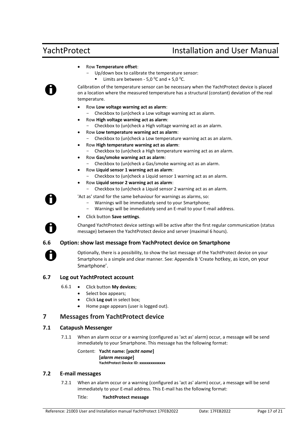- Row **Temperature offset**:
	- Up/down box to calibrate the temperature sensor:
		- Limits are between 5,0  $^{\circ}$ C and + 5,0  $^{\circ}$ C.

Calibration of the temperature sensor can be necessary when the YachtProtect device is placed on a location where the measured temperature has a structural (constant) deviation of the real temperature.

- Row **Low voltage warning act as alarm**:
	- Checkbox to (un)check a Low voltage warning act as alarm.
- Row **High voltage warning act as alarm**:
	- Checkbox to (un)check a High voltage warning act as an alarm.
- Row **Low temperature warning act as alarm**:
	- Checkbox to (un)check a Low temperature warning act as an alarm.
- Row **High temperature warning act as alarm**:
	- Checkbox to (un)check a High temperature warning act as an alarm.
- Row **Gas/smoke warning act as alarm**:
	- Checkbox to (un)check a Gas/smoke warning act as an alarm.
- Row **Liquid sensor 1 warning act as alarm**:
	- Checkbox to (un)check a Liquid sensor 1 warning act as an alarm.
- Row **Liquid sensor 2 warning act as alarm**:
	- Checkbox to (un)check a Liquid sensor 2 warning act as an alarm.

'Act as' stand for the same behaviour for warnings as alarms, so:

- Warnings will be immediately send to your Smartphone;
- Warnings will be immediately send an E-mail to your E-mail address.
- Click button **Save settings**.

Changed YachtProtect device settings will be active after the first regular communication (status message) between the YachtProtect device and server (maximal 6 hours).

## <span id="page-16-0"></span>**6.6 Option: show last message from YachProtect device on Smartphone**

Optionally, there is a possibility, to show the last message of the YachtProtect device on your Smartphone is a simple and clear manner. See: Appendix B 'Create hotkey, as icon, on your Smartphone'.

## <span id="page-16-1"></span>**6.7 Log out YachtProtect account**

### 6.6.1 • Click button **My devices**;

- Select box appears;
- Click **Log out** in select box;
- Home page appears (user is logged out).

## <span id="page-16-2"></span>**7 Messages from YachtProtect device**

### <span id="page-16-3"></span>**7.1 Catapush Messenger**

7.1.1 When an alarm occur or a warning (configured as 'act as' alarm) occur, a message will be send immediately to your Smartphone. This message has the following format:

Content: **Yacht name: [***yacht name***] [***alarm message***]**

**YachtProtect Device ID: xxxxxxxxxxxxxx**

## <span id="page-16-4"></span>**7.2 E-mail messages**

7.2.1 When an alarm occur or a warning (configured as 'act as' alarm) occur, a message will be send immediately to your E-mail address. This E-mail has the following format:

Title: **YachtProtect message**

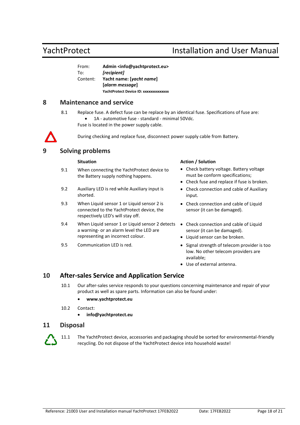| From:    | Admin <info@yachtprotect.eu></info@yachtprotect.eu> |  |
|----------|-----------------------------------------------------|--|
| To:      | [recipient]                                         |  |
| Content: | Yacht name: [yacht name]                            |  |
|          | [alarm message]                                     |  |
|          | YachtProtect Device ID: xxxxxxxxxxxxxx              |  |
|          |                                                     |  |

## <span id="page-17-0"></span>**8 Maintenance and service**

- 8.1 Replace fuse. A defect fuse can be replace by an identical fuse. Specifications of fuse are:
	- 1A automotive fuse standard minimal 50Vdc.

Fuse is located in the power supply cable.

During checking and replace fuse, disconnect power supply cable from Battery.

## <span id="page-17-1"></span>**9 Solving problems**

- 9.1 When connecting the YachtProtect device to the Battery supply nothing happens.
- 9.2 Auxiliary LED is red while Auxiliary input is shorted.
- 9.3 When Liquid sensor 1 or Liquid sensor 2 is connected to the YachtProtect device, the respectively LED's will stay off.
- 9.4 When Liquid sensor 1 or Liquid sensor 2 detects Check connection and cable of Liquid a warning- or an alarm level the LED are representing an incorrect colour.
- 

### **Situation Action Action Action Action Action**

- Check battery voltage. Battery voltage must be conform specifications;
- Check fuse and replace if fuse is broken.
- Check connection and cable of Auxiliary input.
- Check connection and cable of Liquid sensor (it can be damaged).
- sensor (it can be damaged).
- Liquid sensor can be broken.
- 9.5 Communication LED is red. Signal strength of telecom provider is too low. No other telecom providers are available;
	- Use of external antenna.

## <span id="page-17-2"></span>**10 After-sales Service and Application Service**

- 10.1 Our after-sales service responds to your questions concerning maintenance and repair of your product as well as spare parts. Information can also be found under:
	- **[www.yachtprotect.eu](http://www.yachtprotect.eu/)**
- 10.2 Contact:
	- **[info@yachtprotect.eu](mailto:info@yachtprotect.eu)**

## <span id="page-17-3"></span>**11 Disposal**

11.1 The YachtProtect device, accessories and packaging should be sorted for environmental-friendly recycling. Do not dispose of the YachtProtect device into household waste!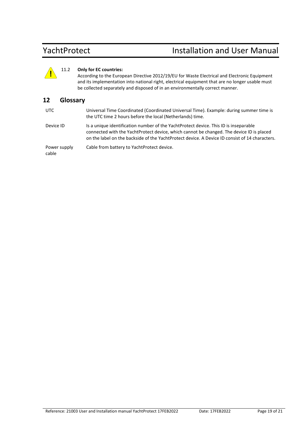### 11.2 **Only for EC countries:**

According to the European Directive 2012/19/EU for Waste Electrical and Electronic Equipment and its implementation into national right, electrical equipment that are no longer usable must be collected separately and disposed of in an environmentally correct manner.

## <span id="page-18-0"></span>**12 Glossary**

| UTC | Universal Time Coordinated (Coordinated Universal Time). Example: during summer time is |
|-----|-----------------------------------------------------------------------------------------|
|     | the UTC time 2 hours before the local (Netherlands) time.                               |

Reference: 21003 User and Installation manual YachtProtect 17FEB2022 Date: 17FEB2022 Page 19 of 21 **!** Device ID Is a unique identification number of the YachtProtect device. This ID is inseparable connected with the YachtProtect device, which cannot be changed. The device ID is placed on the label on the backside of the YachtProtect device. A Device ID consist of 14 characters.

Power supply Cable from battery to YachtProtect device.

cable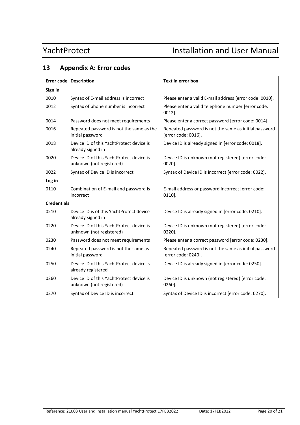## <span id="page-19-0"></span>**13 Appendix A: Error codes**

|                    | <b>Error code Description</b>                                        | Text in error box                                                            |  |  |  |
|--------------------|----------------------------------------------------------------------|------------------------------------------------------------------------------|--|--|--|
| Sign in            |                                                                      |                                                                              |  |  |  |
| 0010               | Syntax of E-mail address is incorrect                                | Please enter a valid E-mail address [error code: 0010].                      |  |  |  |
| 0012               | Syntax of phone number is incorrect                                  | Please enter a valid telephone number [error code:<br>$0012$ ].              |  |  |  |
| 0014               | Password does not meet requirements                                  | Please enter a correct password [error code: 0014].                          |  |  |  |
| 0016               | Repeated password is not the same as the<br>initial password         | Repeated password is not the same as initial password<br>[error code: 0016]. |  |  |  |
| 0018               | Device ID of this YachtProtect device is<br>already signed in        | Device ID is already signed in [error code: 0018].                           |  |  |  |
| 0020               | Device ID of this YachtProtect device is<br>unknown (not registered) | Device ID is unknown (not registered) [error code:<br>$0020$ ].              |  |  |  |
| 0022               | Syntax of Device ID is incorrect                                     | Syntax of Device ID is incorrect [error code: 0022].                         |  |  |  |
| Log in             |                                                                      |                                                                              |  |  |  |
| 0110               | Combination of E-mail and password is<br>incorrect                   | E-mail address or password incorrect [error code:<br>$0110$ .                |  |  |  |
| <b>Credentials</b> |                                                                      |                                                                              |  |  |  |
| 0210               | Device ID is of this YachtProtect device<br>already signed in        | Device ID is already signed in [error code: 0210].                           |  |  |  |
| 0220               | Device ID of this YachtProtect device is<br>unknown (not registered) | Device ID is unknown (not registered) [error code:<br>$0220$ ].              |  |  |  |
| 0230               | Password does not meet requirements                                  | Please enter a correct password [error code: 0230].                          |  |  |  |
| 0240               | Repeated password is not the same as<br>initial password             | Repeated password is not the same as initial password<br>[error code: 0240]. |  |  |  |
| 0250               | Device ID of this YachtProtect device is<br>already registered       | Device ID is already signed in [error code: 0250].                           |  |  |  |
| 0260               | Device ID of this YachtProtect device is<br>unknown (not registered) | Device ID is unknown (not registered) [error code:<br>$0260$ ].              |  |  |  |
| 0270               | Syntax of Device ID is incorrect                                     | Syntax of Device ID is incorrect [error code: 0270].                         |  |  |  |